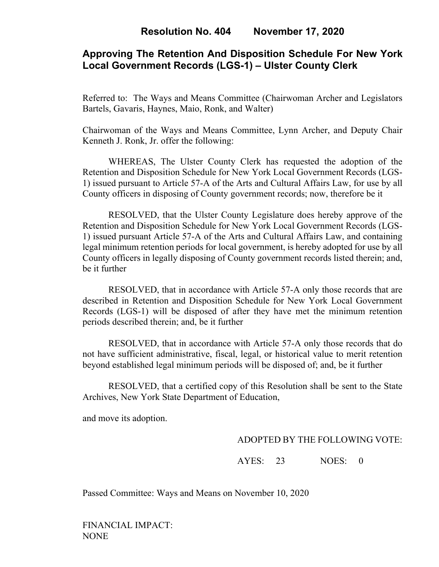## **Approving The Retention And Disposition Schedule For New York Local Government Records (LGS-1) – Ulster County Clerk**

Referred to: The Ways and Means Committee (Chairwoman Archer and Legislators Bartels, Gavaris, Haynes, Maio, Ronk, and Walter)

Chairwoman of the Ways and Means Committee, Lynn Archer, and Deputy Chair Kenneth J. Ronk, Jr. offer the following:

WHEREAS, The Ulster County Clerk has requested the adoption of the Retention and Disposition Schedule for New York Local Government Records (LGS-1) issued pursuant to Article 57-A of the Arts and Cultural Affairs Law, for use by all County officers in disposing of County government records; now, therefore be it

RESOLVED, that the Ulster County Legislature does hereby approve of the Retention and Disposition Schedule for New York Local Government Records (LGS-1) issued pursuant Article 57-A of the Arts and Cultural Affairs Law, and containing legal minimum retention periods for local government, is hereby adopted for use by all County officers in legally disposing of County government records listed therein; and, be it further

RESOLVED, that in accordance with Article 57-A only those records that are described in Retention and Disposition Schedule for New York Local Government Records (LGS-1) will be disposed of after they have met the minimum retention periods described therein; and, be it further

RESOLVED, that in accordance with Article 57-A only those records that do not have sufficient administrative, fiscal, legal, or historical value to merit retention beyond established legal minimum periods will be disposed of; and, be it further

RESOLVED, that a certified copy of this Resolution shall be sent to the State Archives, New York State Department of Education,

and move its adoption.

## ADOPTED BY THE FOLLOWING VOTE:

AYES: 23 NOES: 0

Passed Committee: Ways and Means on November 10, 2020